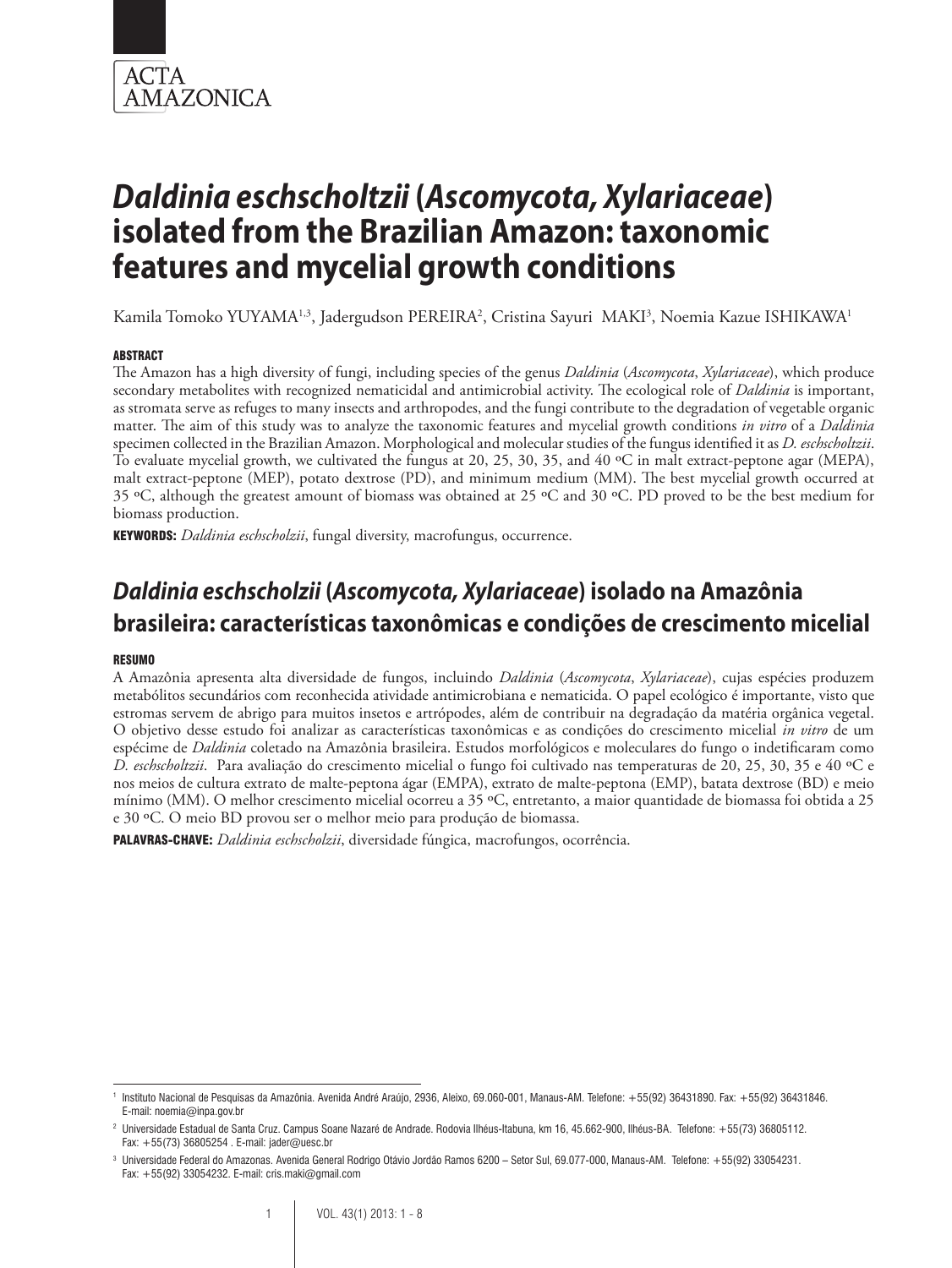

Kamila Tomoko YUYAMA1.3, Jadergudson PEREIRA<sup>2</sup>, Cristina Sayuri MAKI3, Noemia Kazue ISHIKAWA1

#### ABSTRACT

The Amazon has a high diversity of fungi, including species of the genus *Daldinia* (*Ascomycota*, *Xylariaceae*), which produce secondary metabolites with recognized nematicidal and antimicrobial activity. The ecological role of *Daldinia* is important, as stromata serve as refuges to many insects and arthropodes, and the fungi contribute to the degradation of vegetable organic matter. The aim of this study was to analyze the taxonomic features and mycelial growth conditions *in vitro* of a *Daldinia*  specimen collected in the Brazilian Amazon. Morphological and molecular studies of the fungus identified it as *D. eschscholtzii*. To evaluate mycelial growth, we cultivated the fungus at 20, 25, 30, 35, and 40 ºC in malt extract-peptone agar (MEPA), malt extract-peptone (MEP), potato dextrose (PD), and minimum medium (MM). The best mycelial growth occurred at 35 ºC, although the greatest amount of biomass was obtained at 25 ºC and 30 ºC. PD proved to be the best medium for biomass production.

KEYWORDS: *Daldinia eschscholzii*, fungal diversity, macrofungus, occurrence.

### *Daldinia eschscholzii* **(***Ascomycota, Xylariaceae***) isolado na Amazônia brasileira: características taxonômicas e condições de crescimento micelial**

#### RESUMO

A Amazônia apresenta alta diversidade de fungos, incluindo *Daldinia* (*Ascomycota*, *Xylariaceae*), cujas espécies produzem metabólitos secundários com reconhecida atividade antimicrobiana e nematicida. O papel ecológico é importante, visto que estromas servem de abrigo para muitos insetos e artrópodes, além de contribuir na degradação da matéria orgânica vegetal. O objetivo desse estudo foi analizar as características taxonômicas e as condições do crescimento micelial *in vitro* de um espécime de *Daldinia* coletado na Amazônia brasileira. Estudos morfológicos e moleculares do fungo o indetificaram como *D. eschscholtzii*. Para avaliação do crescimento micelial o fungo foi cultivado nas temperaturas de 20, 25, 30, 35 e 40 ºC e nos meios de cultura extrato de malte-peptona ágar (EMPA), extrato de malte-peptona (EMP), batata dextrose (BD) e meio mínimo (MM). O melhor crescimento micelial ocorreu a 35 ºC, entretanto, a maior quantidade de biomassa foi obtida a 25 e 30 ºC. O meio BD provou ser o melhor meio para produção de biomassa.

PALAVRAS-CHAVE: *Daldinia eschscholzii*, diversidade fúngica, macrofungos, ocorrência.

<sup>1</sup> Instituto Nacional de Pesquisas da Amazônia. Avenida André Araújo, 2936, Aleixo, 69.060-001, Manaus-AM. Telefone: +55(92) 36431890. Fax: +55(92) 36431846. E-mail: noemia@inpa.gov.br

<sup>2</sup> Universidade Estadual de Santa Cruz. Campus Soane Nazaré de Andrade. Rodovia Ilhéus-Itabuna, km 16, 45.662-900, Ilhéus-BA. Telefone: +55(73) 36805112. Fax: +55(73) 36805254 . E-mail: jader@uesc.br

<sup>3</sup> Universidade Federal do Amazonas. Avenida General Rodrigo Otávio Jordão Ramos 6200 – Setor Sul, 69.077-000, Manaus-AM. Telefone: +55(92) 33054231. Fax: +55(92) 33054232. E-mail: cris.maki@gmail.com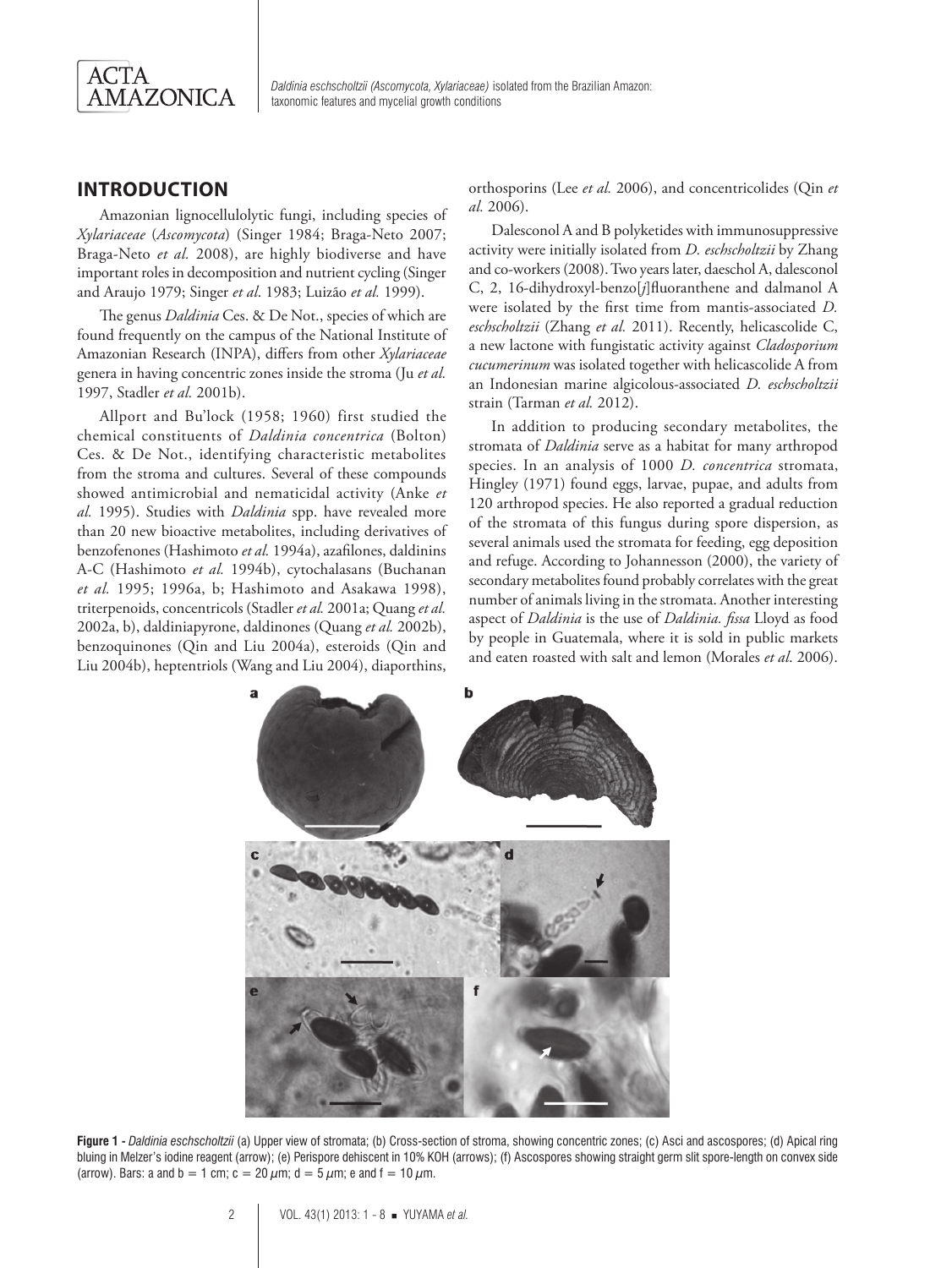

#### **INTRODUCTION**

Amazonian lignocellulolytic fungi, including species of *Xylariaceae* (*Ascomycota*) (Singer 1984; Braga-Neto 2007; Braga-Neto *et al.* 2008), are highly biodiverse and have important roles in decomposition and nutrient cycling (Singer and Araujo 1979; Singer *et al*. 1983; Luizão *et al.* 1999).

The genus *Daldinia* Ces. & De Not., species of which are found frequently on the campus of the National Institute of Amazonian Research (INPA), differs from other *Xylariaceae* genera in having concentric zones inside the stroma (Ju *et al.* 1997, Stadler *et al.* 2001b).

Allport and Bu'lock (1958; 1960) first studied the chemical constituents of *Daldinia concentrica* (Bolton) Ces. & De Not., identifying characteristic metabolites from the stroma and cultures. Several of these compounds showed antimicrobial and nematicidal activity (Anke *et al.* 1995). Studies with *Daldinia* spp. have revealed more than 20 new bioactive metabolites, including derivatives of benzofenones (Hashimoto *et al.* 1994a), azafilones, daldinins A-C (Hashimoto *et al.* 1994b), cytochalasans (Buchanan *et al.* 1995; 1996a, b; Hashimoto and Asakawa 1998), triterpenoids, concentricols (Stadler *et al.* 2001a; Quang *et al.* 2002a, b), daldiniapyrone, daldinones (Quang *et al.* 2002b), benzoquinones (Qin and Liu 2004a), esteroids (Qin and Liu 2004b), heptentriols (Wang and Liu 2004), diaporthins, orthosporins (Lee *et al.* 2006), and concentricolides (Qin *et al.* 2006).

Dalesconol A and B polyketides with immunosuppressive activity were initially isolated from *D. eschscholtzii* by Zhang and co-workers (2008). Two years later, daeschol A, dalesconol C, 2, 16-dihydroxyl-benzo[*j*]fluoranthene and dalmanol A were isolated by the first time from mantis-associated *D. eschscholtzii* (Zhang *et al.* 2011). Recently, helicascolide C, a new lactone with fungistatic activity against *Cladosporium cucumerinum* was isolated together with helicascolide A from an Indonesian marine algicolous-associated *D. eschscholtzii* strain (Tarman *et al.* 2012).

In addition to producing secondary metabolites, the stromata of *Daldinia* serve as a habitat for many arthropod species. In an analysis of 1000 *D. concentrica* stromata, Hingley (1971) found eggs, larvae, pupae, and adults from 120 arthropod species. He also reported a gradual reduction of the stromata of this fungus during spore dispersion, as several animals used the stromata for feeding, egg deposition and refuge. According to Johannesson (2000), the variety of secondary metabolites found probably correlates with the great number of animals living in the stromata. Another interesting aspect of *Daldinia* is the use of *Daldinia. fissa* Lloyd as food by people in Guatemala, where it is sold in public markets and eaten roasted with salt and lemon (Morales *et al*. 2006).



**Figure 1 -** *Daldinia eschscholtzii* (a) Upper view of stromata; (b) Cross-section of stroma, showing concentric zones; (c) Asci and ascospores; (d) Apical ring bluing in Melzer's iodine reagent (arrow); (e) Perispore dehiscent in 10% KOH (arrows); (f) Ascospores showing straight germ slit spore-length on convex side (arrow). Bars: a and b = 1 cm; c = 20  $\mu$ m; d = 5  $\mu$ m; e and f = 10  $\mu$ m.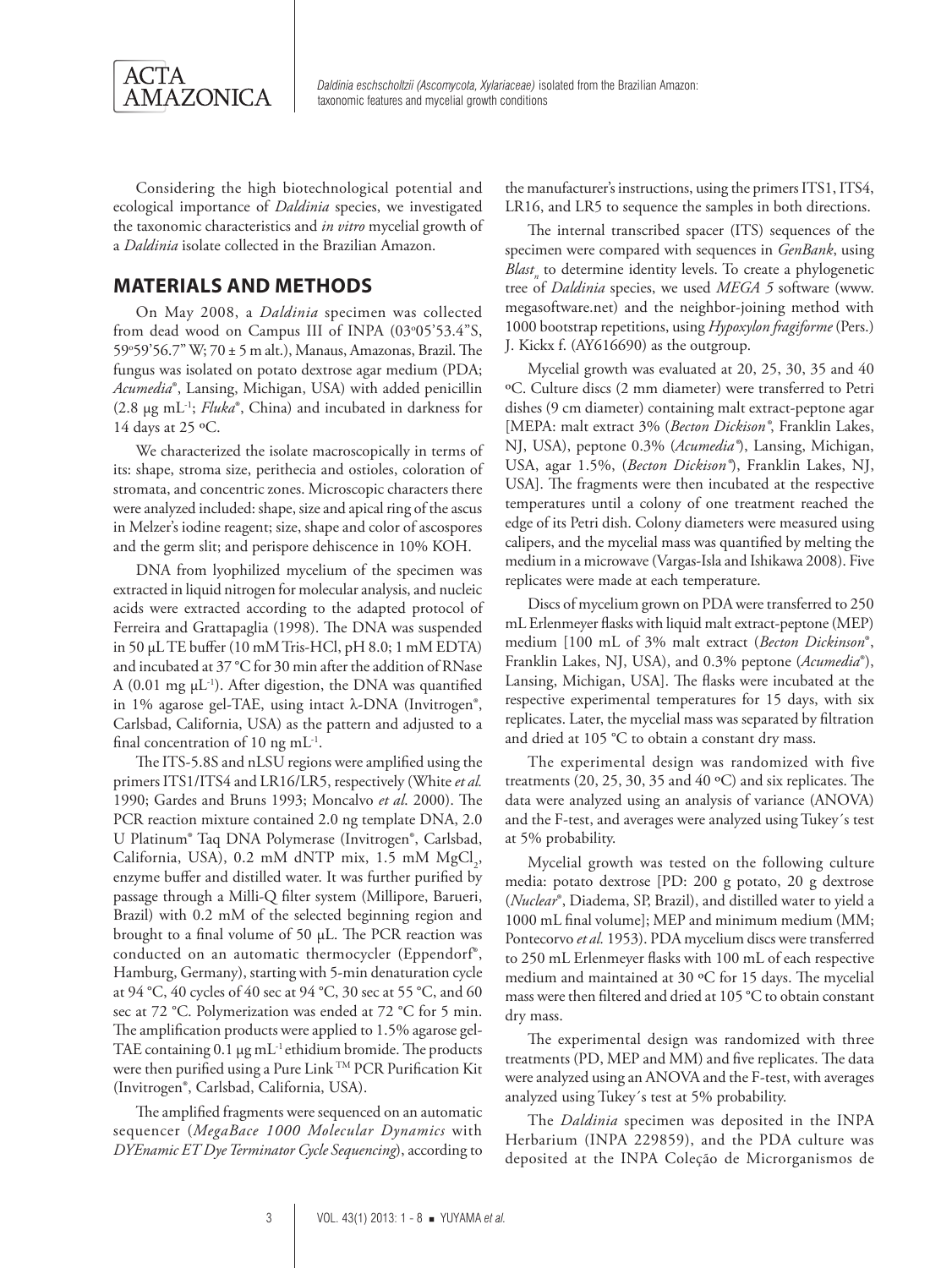

Considering the high biotechnological potential and ecological importance of *Daldinia* species, we investigated the taxonomic characteristics and *in vitro* mycelial growth of a *Daldinia* isolate collected in the Brazilian Amazon.

#### **MATERIALS AND METHODS**

On May 2008, a *Daldinia* specimen was collected from dead wood on Campus III of INPA (03°05'53.4"S, 59o 59'56.7" W; 70 ± 5 m alt.), Manaus, Amazonas, Brazil. The fungus was isolated on potato dextrose agar medium (PDA; *Acumedia*®, Lansing, Michigan, USA) with added penicillin (2.8 µg mL-1; *Fluka*®, China) and incubated in darkness for 14 days at 25  $\rm ^{o}C$ .

We characterized the isolate macroscopically in terms of its: shape, stroma size, perithecia and ostioles, coloration of stromata, and concentric zones. Microscopic characters there were analyzed included: shape, size and apical ring of the ascus in Melzer's iodine reagent; size, shape and color of ascospores and the germ slit; and perispore dehiscence in 10% KOH.

DNA from lyophilized mycelium of the specimen was extracted in liquid nitrogen for molecular analysis, and nucleic acids were extracted according to the adapted protocol of Ferreira and Grattapaglia (1998). The DNA was suspended in 50 µL TE buffer (10 mM Tris-HCl, pH 8.0; 1 mM EDTA) and incubated at 37 °C for 30 min after the addition of RNase A (0.01 mg  $\mu$ L<sup>-1</sup>). After digestion, the DNA was quantified in 1% agarose gel-TAE, using intact λ-DNA (Invitrogen®, Carlsbad, California, USA) as the pattern and adjusted to a final concentration of 10 ng  $mL^{-1}$ .

The ITS-5.8S and nLSU regions were amplified using the primers ITS1/ITS4 and LR16/LR5, respectively (White *et al.*  1990; Gardes and Bruns 1993; Moncalvo *et al*. 2000). The PCR reaction mixture contained 2.0 ng template DNA, 2.0 U Platinum® Taq DNA Polymerase (Invitrogen®, Carlsbad, California, USA), 0.2 mM dNTP mix, 1.5 mM  $MgCl_2$ , enzyme buffer and distilled water. It was further purified by passage through a Milli-Q filter system (Millipore, Barueri, Brazil) with 0.2 mM of the selected beginning region and brought to a final volume of 50 µL. The PCR reaction was conducted on an automatic thermocycler (Eppendorf®, Hamburg, Germany), starting with 5-min denaturation cycle at 94 °C, 40 cycles of 40 sec at 94 °C, 30 sec at 55 °C, and 60 sec at 72 °C. Polymerization was ended at 72 °C for 5 min. The amplification products were applied to 1.5% agarose gel-TAE containing 0.1 µg mL<sup>-1</sup> ethidium bromide. The products were then purified using a Pure Link TM PCR Purification Kit (Invitrogen®, Carlsbad, California, USA).

The amplified fragments were sequenced on an automatic sequencer (*MegaBace 1000 Molecular Dynamics* with *DYEnamic ET Dye Terminator Cycle Sequencing*), according to

the manufacturer's instructions, using the primers ITS1, ITS4, LR16, and LR5 to sequence the samples in both directions.

The internal transcribed spacer (ITS) sequences of the specimen were compared with sequences in *GenBank*, using *Blast<sub>n</sub>* to determine identity levels. To create a phylogenetic tree of *Daldinia* species, we used *MEGA 5* software (www. megasoftware.net) and the neighbor-joining method with 1000 bootstrap repetitions, using *Hypoxylon fragiforme* (Pers.) J. Kickx f. (AY616690) as the outgroup.

Mycelial growth was evaluated at 20, 25, 30, 35 and 40 ºC. Culture discs (2 mm diameter) were transferred to Petri dishes (9 cm diameter) containing malt extract-peptone agar [MEPA: malt extract 3% (*Becton Dickison®*, Franklin Lakes, NJ, USA), peptone 0.3% (*Acumedia®*), Lansing, Michigan, USA, agar 1.5%, (*Becton Dickison®*), Franklin Lakes, NJ, USA]. The fragments were then incubated at the respective temperatures until a colony of one treatment reached the edge of its Petri dish. Colony diameters were measured using calipers, and the mycelial mass was quantified by melting the medium in a microwave (Vargas-Isla and Ishikawa 2008). Five replicates were made at each temperature.

Discs of mycelium grown on PDA were transferred to 250 mL Erlenmeyer flasks with liquid malt extract-peptone (MEP) medium [100 mL of 3% malt extract (*Becton Dickinson*®, Franklin Lakes, NJ, USA), and 0.3% peptone (*Acumedia*®), Lansing, Michigan, USA]. The flasks were incubated at the respective experimental temperatures for 15 days, with six replicates. Later, the mycelial mass was separated by filtration and dried at 105 °C to obtain a constant dry mass.

The experimental design was randomized with five treatments (20, 25, 30, 35 and 40 ºC) and six replicates. The data were analyzed using an analysis of variance (ANOVA) and the F-test, and averages were analyzed using Tukey´s test at 5% probability.

Mycelial growth was tested on the following culture media: potato dextrose [PD: 200 g potato, 20 g dextrose (*Nuclear*®, Diadema, SP, Brazil), and distilled water to yield a 1000 mL final volume]; MEP and minimum medium (MM; Pontecorvo *et al.* 1953). PDA mycelium discs were transferred to 250 mL Erlenmeyer flasks with 100 mL of each respective medium and maintained at 30 ºC for 15 days. The mycelial mass were then filtered and dried at 105 °C to obtain constant dry mass.

The experimental design was randomized with three treatments (PD, MEP and MM) and five replicates. The data were analyzed using an ANOVA and the F-test, with averages analyzed using Tukey´s test at 5% probability.

The *Daldinia* specimen was deposited in the INPA Herbarium (INPA 229859), and the PDA culture was deposited at the INPA Coleção de Microrganismos de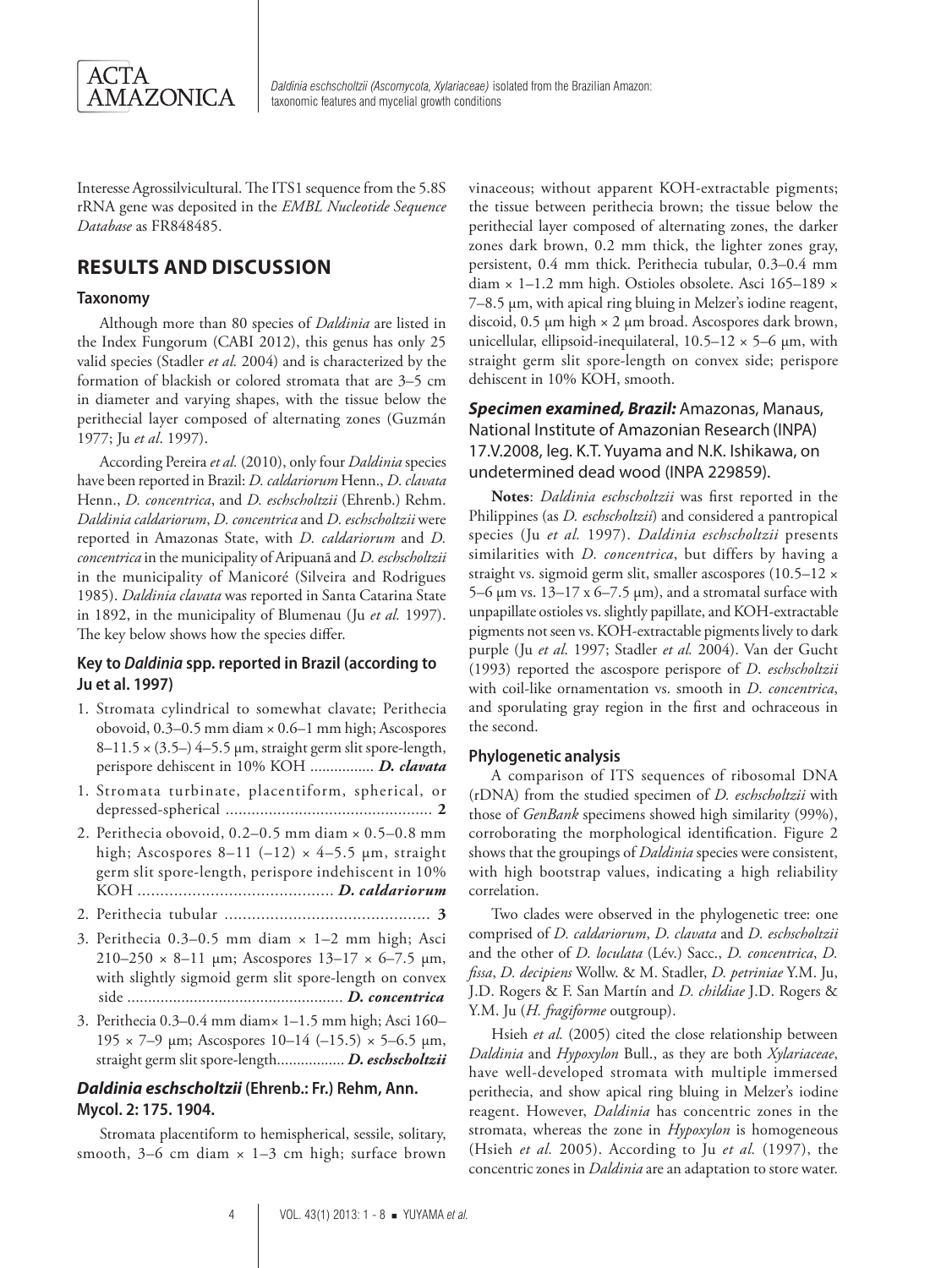

Interesse Agrossilvicultural. The ITS1 sequence from the 5.8S rRNA gene was deposited in the *EMBL Nucleotide Sequence Database* as FR848485.

#### **RESULTS AND DISCUSSION**

#### **Taxonomy**

Although more than 80 species of *Daldinia* are listed in the Index Fungorum (CABI 2012), this genus has only 25 valid species (Stadler *et al.* 2004) and is characterized by the formation of blackish or colored stromata that are 3–5 cm in diameter and varying shapes, with the tissue below the perithecial layer composed of alternating zones (Guzmán 1977; Ju *et al*. 1997).

According Pereira *et al.* (2010), only four *Daldinia* species have been reported in Brazil: *D. caldariorum* Henn., *D. clavata*  Henn., *D. concentrica*, and *D. eschscholtzii* (Ehrenb.) Rehm. *Daldinia caldariorum*, *D. concentrica* and *D. eschscholtzii* were reported in Amazonas State, with *D. caldariorum* and *D. concentrica* in the municipality of Aripuanã and *D. eschscholtzii* in the municipality of Manicoré (Silveira and Rodrigues 1985). *Daldinia clavata* was reported in Santa Catarina State in 1892, in the municipality of Blumenau (Ju *et al.* 1997). The key below shows how the species differ.

#### **Key to** *Daldinia* **spp. reported in Brazil (according to Ju et al. 1997)**

- 1. Stromata cylindrical to somewhat clavate; Perithecia obovoid, 0.3–0.5 mm diam × 0.6–1 mm high; Ascospores  $8-11.5 \times (3.5-) 4-5.5 \mu m$ , straight germ slit spore-length, perispore dehiscent in 10% KOH ................ *D. clavata*
- 1. Stromata turbinate, placentiform, spherical, or depressed-spherical ................................................ **2**
- 2. Perithecia obovoid, 0.2–0.5 mm diam × 0.5–0.8 mm high; Ascospores 8–11 (–12)  $\times$  4–5.5 µm, straight germ slit spore-length, perispore indehiscent in 10% KOH ........................................... *D. caldariorum*
- 2. Perithecia tubular ............................................. **3**
- 3. Perithecia 0.3–0.5 mm diam × 1–2 mm high; Asci 210–250  $\times$  8–11 µm; Ascospores 13–17  $\times$  6–7.5 µm, with slightly sigmoid germ slit spore-length on convex side .................................................... *D. concentrica*
- 3. Perithecia 0.3–0.4 mm diam× 1–1.5 mm high; Asci 160– 195  $\times$  7–9  $\mu$ m; Ascospores 10–14 (–15.5)  $\times$  5–6.5  $\mu$ m, straight germ slit spore-length................. *D. eschscholtzii*

#### *Daldinia eschscholtzii* **(Ehrenb.: Fr.) Rehm, Ann. Mycol. 2: 175. 1904.**

Stromata placentiform to hemispherical, sessile, solitary, smooth,  $3-6$  cm diam  $\times$  1-3 cm high; surface brown vinaceous; without apparent KOH-extractable pigments; the tissue between perithecia brown; the tissue below the perithecial layer composed of alternating zones, the darker zones dark brown, 0.2 mm thick, the lighter zones gray, persistent, 0.4 mm thick. Perithecia tubular, 0.3–0.4 mm diam × 1–1.2 mm high. Ostioles obsolete. Asci 165–189 × 7–8.5 µm, with apical ring bluing in Melzer's iodine reagent, discoid, 0.5 µm high × 2 µm broad. Ascospores dark brown, unicellular, ellipsoid-inequilateral,  $10.5-12 \times 5-6$  µm, with straight germ slit spore-length on convex side; perispore dehiscent in 10% KOH, smooth.

#### *Specimen examined, Brazil:* Amazonas, Manaus, National Institute of Amazonian Research (INPA) 17.V.2008, leg. K.T. Yuyama and N.K. Ishikawa, on undetermined dead wood (INPA 229859).

**Notes**: *Daldinia eschscholtzii* was first reported in the Philippines (as *D. eschscholtzii*) and considered a pantropical species (Ju *et al.* 1997). *Daldinia eschscholtzii* presents similarities with *D. concentrica*, but differs by having a straight vs. sigmoid germ slit, smaller ascospores (10.5–12 × 5–6  $\mu$ m vs. 13–17 x 6–7.5  $\mu$ m), and a stromatal surface with unpapillate ostioles vs. slightly papillate, and KOH-extractable pigments not seen vs. KOH-extractable pigments lively to dark purple (Ju *et al*. 1997; Stadler *et al.* 2004). Van der Gucht (1993) reported the ascospore perispore of *D*. *eschscholtzii* with coil-like ornamentation vs. smooth in *D*. *concentrica*, and sporulating gray region in the first and ochraceous in the second.

#### **Phylogenetic analysis**

A comparison of ITS sequences of ribosomal DNA (rDNA) from the studied specimen of *D. eschscholtzii* with those of *GenBank* specimens showed high similarity (99%), corroborating the morphological identification. Figure 2 shows that the groupings of *Daldinia* species were consistent, with high bootstrap values, indicating a high reliability correlation.

Two clades were observed in the phylogenetic tree: one comprised of *D. caldariorum*, *D. clavata* and *D. eschscholtzii*  and the other of *D. loculata* (Lév.) Sacc., *D. concentrica*, *D. fissa*, *D. decipiens* Wollw. & M. Stadler, *D. petriniae* Y.M. Ju, J.D. Rogers & F. San Martín and *D. childiae* J.D. Rogers & Y.M. Ju (*H. fragiforme* outgroup).

Hsieh *et al.* (2005) cited the close relationship between *Daldinia* and *Hypoxylon* Bull., as they are both *Xylariaceae*, have well-developed stromata with multiple immersed perithecia, and show apical ring bluing in Melzer's iodine reagent. However, *Daldinia* has concentric zones in the stromata, whereas the zone in *Hypoxylon* is homogeneous (Hsieh *et al.* 2005). According to Ju *et al.* (1997), the concentric zones in *Daldinia* are an adaptation to store water.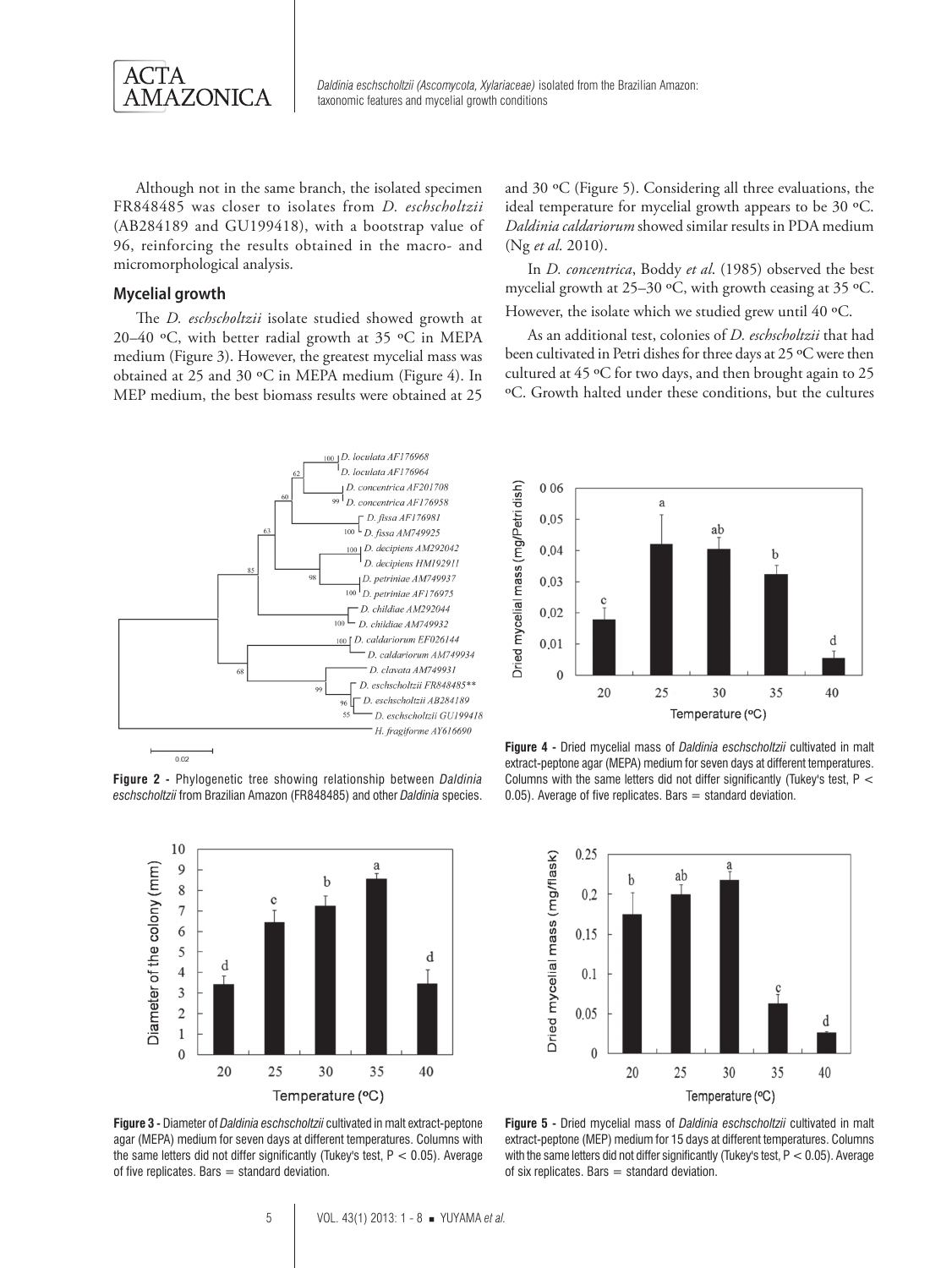

Although not in the same branch, the isolated specimen FR848485 was closer to isolates from *D. eschscholtzii* (AB284189 and GU199418), with a bootstrap value of 96, reinforcing the results obtained in the macro- and micromorphological analysis.

#### **Mycelial growth**

The *D. eschscholtzii* isolate studied showed growth at 20–40 ºC, with better radial growth at 35 ºC in MEPA medium (Figure 3). However, the greatest mycelial mass was obtained at 25 and 30 ºC in MEPA medium (Figure 4). In MEP medium, the best biomass results were obtained at 25 and 30 ºC (Figure 5). Considering all three evaluations, the ideal temperature for mycelial growth appears to be 30 ºC. *Daldinia caldariorum* showed similar results in PDA medium (Ng *et al*. 2010).

In *D. concentrica*, Boddy *et al*. (1985) observed the best mycelial growth at 25–30 ºC, with growth ceasing at 35 ºC. However, the isolate which we studied grew until 40 °C.

As an additional test, colonies of *D. eschscholtzii* that had been cultivated in Petri dishes for three days at 25 ºC were then cultured at 45 ºC for two days, and then brought again to 25 ºC. Growth halted under these conditions, but the cultures



 $0.02$ 

**Figure 2 -** Phylogenetic tree showing relationship between *Daldinia eschscholtzii* from Brazilian Amazon (FR848485) and other *Daldinia* species.



**Figure 3 -** Diameter of *Daldinia eschscholtzii* cultivated in malt extract-peptone agar (MEPA) medium for seven days at different temperatures. Columns with the same letters did not differ significantly (Tukey's test,  $P < 0.05$ ). Average of five replicates. Bars  $=$  standard deviation.



**Figure 4 -** Dried mycelial mass of *Daldinia eschscholtzii* cultivated in malt extract-peptone agar (MEPA) medium for seven days at different temperatures. Columns with the same letters did not differ significantly (Tukey's test, P <  $0.05$ ). Average of five replicates. Bars = standard deviation.



**Figure 5 -** Dried mycelial mass of *Daldinia eschscholtzii* cultivated in malt extract-peptone (MEP) medium for 15 days at different temperatures. Columns with the same letters did not differ significantly (Tukey's test, P < 0.05). Average of six replicates. Bars  $=$  standard deviation.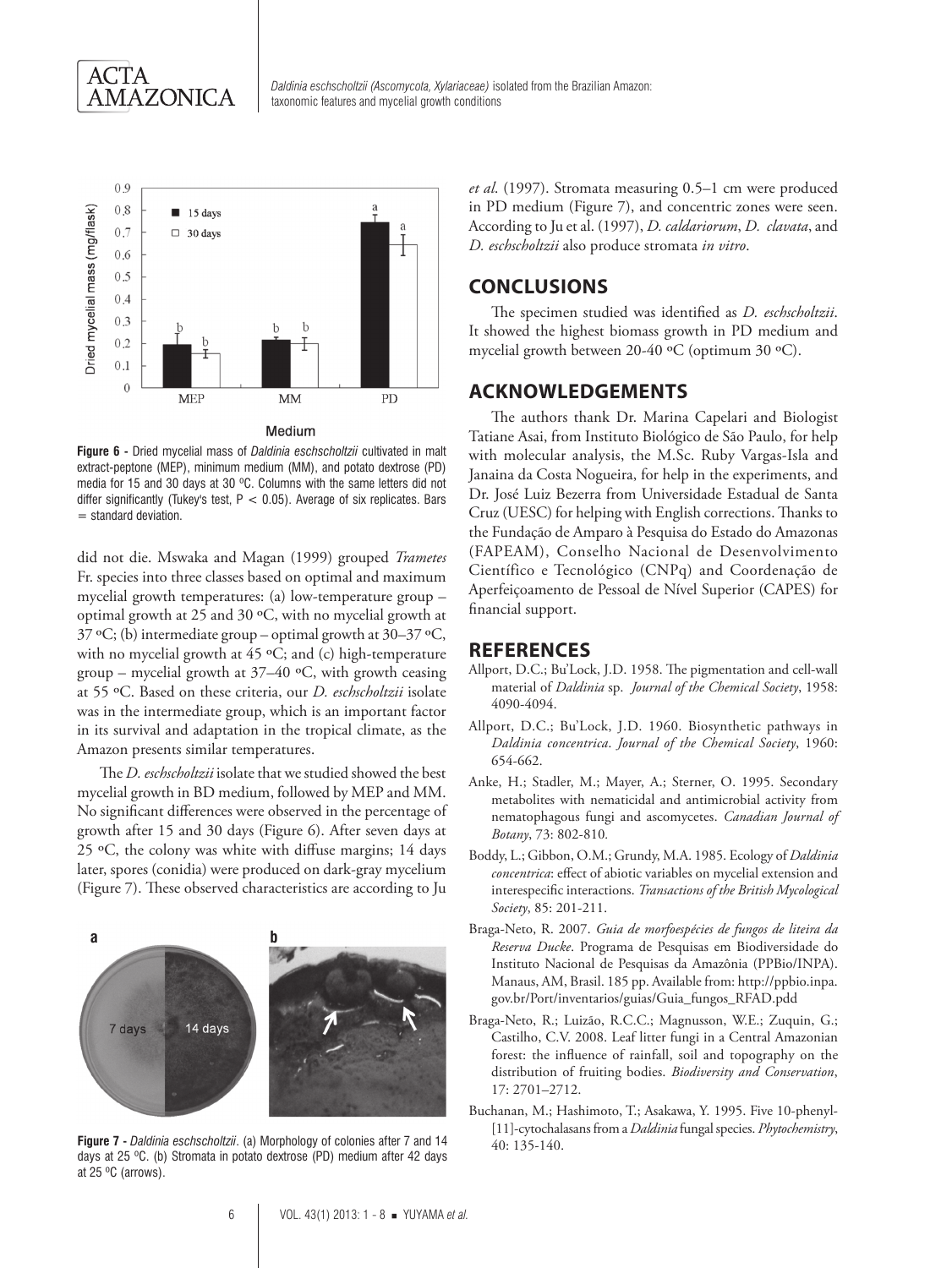



**Figure 6 -** Dried mycelial mass of *Daldinia eschscholtzii* cultivated in malt extract-peptone (MEP), minimum medium (MM), and potato dextrose (PD) media for 15 and 30 days at 30 ºC. Columns with the same letters did not differ significantly (Tukey's test,  $P < 0.05$ ). Average of six replicates. Bars  $=$  standard deviation.

did not die. Mswaka and Magan (1999) grouped *Trametes*  Fr. species into three classes based on optimal and maximum mycelial growth temperatures: (a) low-temperature group – optimal growth at 25 and 30 ºC, with no mycelial growth at 37 ºC; (b) intermediate group – optimal growth at 30–37 ºC, with no mycelial growth at 45 °C; and (c) high-temperature group – mycelial growth at  $37-40$  °C, with growth ceasing at 55 ºC. Based on these criteria, our *D. eschscholtzii* isolate was in the intermediate group, which is an important factor in its survival and adaptation in the tropical climate, as the Amazon presents similar temperatures.

The *D. eschscholtzii* isolate that we studied showed the best mycelial growth in BD medium, followed by MEP and MM. No significant differences were observed in the percentage of growth after 15 and 30 days (Figure 6). After seven days at 25 ºC, the colony was white with diffuse margins; 14 days later, spores (conidia) were produced on dark-gray mycelium (Figure 7). These observed characteristics are according to Ju

# **a b**14 days 7 days

**Figure 7 -** *Daldinia eschscholtzii*. (a) Morphology of colonies after 7 and 14 days at 25 ºC. (b) Stromata in potato dextrose (PD) medium after 42 days at 25 ºC (arrows).

*et al*. (1997). Stromata measuring 0.5–1 cm were produced in PD medium (Figure 7), and concentric zones were seen. According to Ju et al. (1997), *D. caldariorum*, *D. clavata*, and *D. eschscholtzii* also produce stromata *in vitro*.

#### **CONCLUSIONS**

The specimen studied was identified as *D. eschscholtzii*. It showed the highest biomass growth in PD medium and mycelial growth between 20-40 ºC (optimum 30 ºC).

#### **ACKNOWLEDGEMENTS**

The authors thank Dr. Marina Capelari and Biologist Tatiane Asai, from Instituto Biológico de São Paulo, for help with molecular analysis, the M.Sc. Ruby Vargas-Isla and Janaina da Costa Nogueira, for help in the experiments, and Dr. José Luiz Bezerra from Universidade Estadual de Santa Cruz (UESC) for helping with English corrections. Thanks to the Fundação de Amparo à Pesquisa do Estado do Amazonas (FAPEAM), Conselho Nacional de Desenvolvimento Científico e Tecnológico (CNPq) and Coordenação de Aperfeiçoamento de Pessoal de Nível Superior (CAPES) for financial support.

#### **REFERENCES**

- Allport, D.C.; Bu'Lock, J.D. 1958. The pigmentation and cell-wall material of *Daldinia* sp. *Journal of the Chemical Society*, 1958: 4090-4094.
- Allport, D.C.; Bu'Lock, J.D. 1960. Biosynthetic pathways in *Daldinia concentrica*. *Journal of the Chemical Society*, 1960: 654-662.
- Anke, H.; Stadler, M.; Mayer, A.; Sterner, O. 1995. Secondary metabolites with nematicidal and antimicrobial activity from nematophagous fungi and ascomycetes. *Canadian Journal of Botany*, 73: 802-810*.*
- Boddy, L.; Gibbon, O.M.; Grundy, M.A. 1985. Ecology of *Daldinia concentrica*: effect of abiotic variables on mycelial extension and interespecific interactions. *Transactions of the British Mycological Society*, 85: 201-211.
- Braga-Neto, R. 2007. *Guia de morfoespécies de fungos de liteira da Reserva Ducke*. Programa de Pesquisas em Biodiversidade do Instituto Nacional de Pesquisas da Amazônia (PPBio/INPA). Manaus, AM, Brasil. 185 pp. Available from: http://ppbio.inpa. gov.br/Port/inventarios/guias/Guia\_fungos\_RFAD.pdd
- Braga-Neto, R.; Luizão, R.C.C.; Magnusson, W.E.; Zuquin, G.; Castilho, C.V. 2008. Leaf litter fungi in a Central Amazonian forest: the influence of rainfall, soil and topography on the distribution of fruiting bodies. *Biodiversity and Conservation*, 17: 2701–2712.
- Buchanan, M.; Hashimoto, T.; Asakawa, Y. 1995. Five 10-phenyl- [11]-cytochalasans from a *Daldinia* fungal species. *Phytochemistry*, 40: 135-140.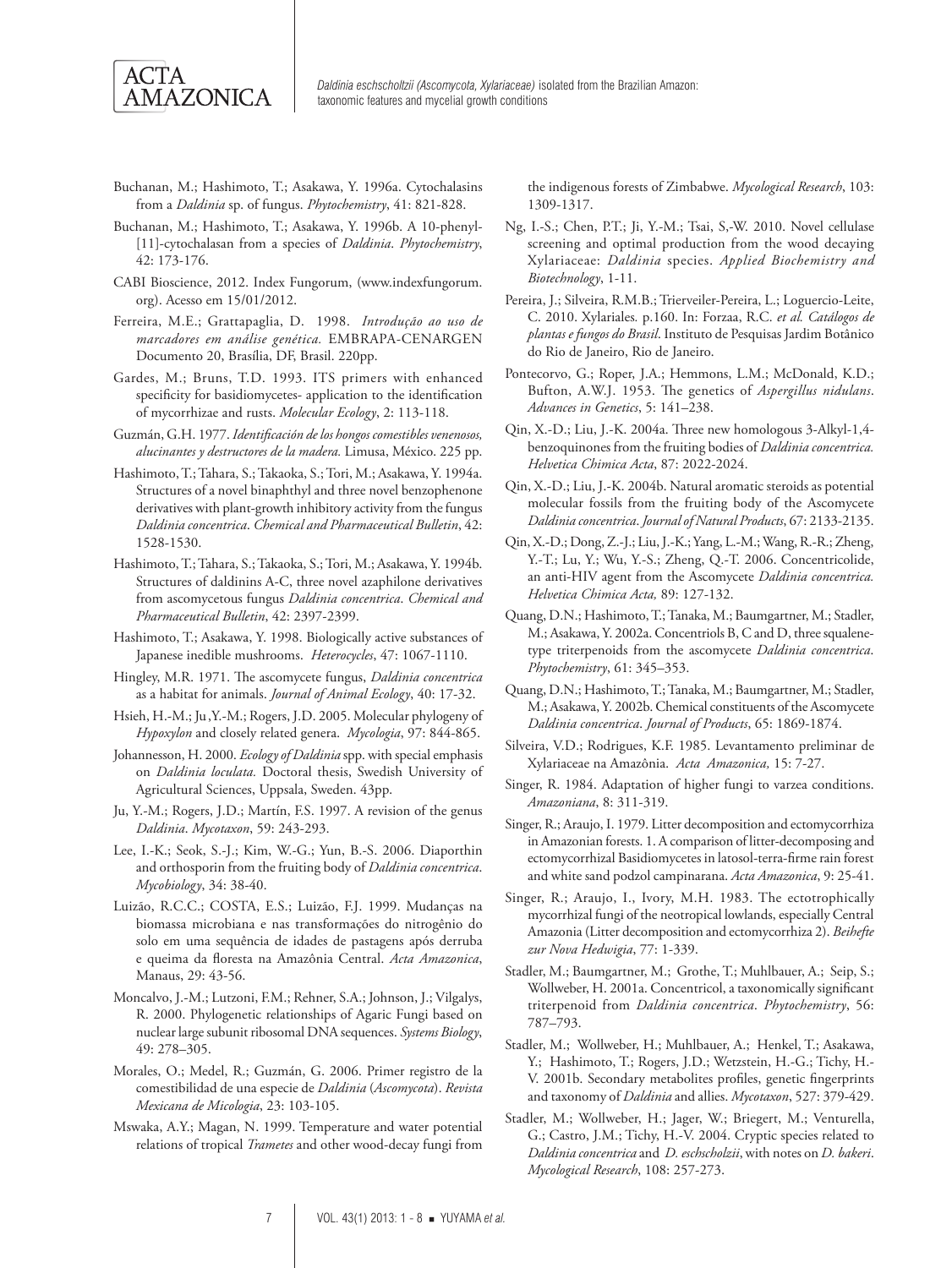

- Buchanan, M.; Hashimoto, T.; Asakawa, Y. 1996a. Cytochalasins from a *Daldinia* sp. of fungus. *Phytochemistry*, 41: 821-828.
- Buchanan, M.; Hashimoto, T.; Asakawa, Y. 1996b. A 10-phenyl- [11]-cytochalasan from a species of *Daldinia*. *Phytochemistry*, 42: 173-176.
- CABI Bioscience, 2012. Index Fungorum, (www.indexfungorum. org). Acesso em 15/01/2012.
- Ferreira, M.E.; Grattapaglia, D. 1998. *Introdução ao uso de marcadores em análise genética.* EMBRAPA-CENARGEN Documento 20, Brasília, DF, Brasil. 220pp.
- Gardes, M.; Bruns, T.D. 1993. ITS primers with enhanced specificity for basidiomycetes- application to the identification of mycorrhizae and rusts. *Molecular Ecology*, 2: 113-118.
- Guzmán, G.H. 1977.*Identificación de los hongos comestibles venenosos, alucinantes y destructores de la madera.* Limusa, México. 225 pp.
- Hashimoto, T.; Tahara, S.; Takaoka, S.; Tori, M.; Asakawa, Y. 1994a. Structures of a novel binaphthyl and three novel benzophenone derivatives with plant-growth inhibitory activity from the fungus *Daldinia concentrica*. *Chemical and Pharmaceutical Bulletin*, 42: 1528-1530.
- Hashimoto, T.; Tahara, S.; Takaoka, S.; Tori, M.; Asakawa, Y. 1994b. Structures of daldinins A-C, three novel azaphilone derivatives from ascomycetous fungus *Daldinia concentrica*. *Chemical and Pharmaceutical Bulletin*, 42: 2397-2399.
- Hashimoto, T.; Asakawa, Y. 1998. Biologically active substances of Japanese inedible mushrooms. *Heterocycles*, 47: 1067-1110.
- Hingley, M.R. 1971. The ascomycete fungus, *Daldinia concentrica*  as a habitat for animals. *Journal of Animal Ecology*, 40: 17-32.
- Hsieh, H.-M.; Ju,Y.-M.; Rogers, J.D. 2005. Molecular phylogeny of *Hypoxylon* and closely related genera.*Mycologia*, 97: 844-865.
- Johannesson, H. 2000. *Ecology of Daldinia* spp. with special emphasis on *Daldinia loculata.* Doctoral thesis, Swedish University of Agricultural Sciences, Uppsala, Sweden. 43pp.
- Ju, Y.-M.; Rogers, J.D.; Martín, F.S. 1997. A revision of the genus *Daldinia*. *Mycotaxon*, 59: 243-293.
- Lee, I.-K.; Seok, S.-J.; Kim, W.-G.; Yun, B.-S. 2006. Diaporthin and orthosporin from the fruiting body of *Daldinia concentrica*. *Mycobiology*, 34: 38-40.
- Luizão, R.C.C.; COSTA, E.S.; Luizão, F.J. 1999. Mudanças na biomassa microbiana e nas transformações do nitrogênio do solo em uma sequência de idades de pastagens após derruba e queima da floresta na Amazônia Central. *Acta Amazonica*, Manaus, 29: 43-56.
- Moncalvo, J.-M.; Lutzoni, F.M.; Rehner, S.A.; Johnson, J.; Vilgalys, R. 2000. Phylogenetic relationships of Agaric Fungi based on nuclear large subunit ribosomal DNA sequences. *Systems Biology*, 49: 278–305.
- Morales, O.; Medel, R.; Guzmán, G. 2006. Primer registro de la comestibilidad de una especie de *Daldinia* (*Ascomycota*). *Revista Mexicana de Micologia*, 23: 103-105.
- Mswaka, A.Y.; Magan, N. 1999. Temperature and water potential relations of tropical *Trametes* and other wood-decay fungi from

the indigenous forests of Zimbabwe. *Mycological Research*, 103: 1309-1317.

- Ng, I.-S.; Chen, P.T.; Ji, Y.-M.; Tsai, S,-W. 2010. Novel cellulase screening and optimal production from the wood decaying Xylariaceae: *Daldinia* species. *Applied Biochemistry and Biotechnology*, 1-11.
- Pereira, J.; Silveira, R.M.B.; Trierveiler-Pereira, L.; Loguercio-Leite, C. 2010. Xylariales*.* p.160. In: Forzaa, R.C. *et al. Catálogos de plantas e fungos do Brasil*. Instituto de Pesquisas Jardim Botânico do Rio de Janeiro, Rio de Janeiro.
- Pontecorvo, G.; Roper, J.A.; Hemmons, L.M.; McDonald, K.D.; Bufton, A.W.J. 1953. The genetics of *Aspergillus nidulans*. *Advances in Genetics*, 5: 141–238.
- Qin, X.-D.; Liu, J.-K. 2004a. Three new homologous 3-Alkyl-1,4 benzoquinones from the fruiting bodies of *Daldinia concentrica. Helvetica Chimica Acta*, 87: 2022-2024.
- Qin, X.-D.; Liu, J.-K. 2004b. Natural aromatic steroids as potential molecular fossils from the fruiting body of the Ascomycete *Daldinia concentrica*. *Journal of Natural Products*, 67: 2133-2135.
- Qin, X.-D.; Dong, Z.-J.; Liu, J.-K.; Yang, L.-M.; Wang, R.-R.; Zheng, Y.-T.; Lu, Y.; Wu, Y.-S.; Zheng, Q.-T. 2006. Concentricolide, an anti-HIV agent from the Ascomycete *Daldinia concentrica. Helvetica Chimica Acta,* 89: 127-132.
- Quang, D.N.; Hashimoto, T.; Tanaka, M.; Baumgartner, M.; Stadler, M.; Asakawa, Y. 2002a. Concentriols B, C and D, three squalenetype triterpenoids from the ascomycete *Daldinia concentrica*. *Phytochemistry*, 61: 345–353.
- Quang, D.N.; Hashimoto, T.; Tanaka, M.; Baumgartner, M.; Stadler, M.; Asakawa, Y. 2002b. Chemical constituents of the Ascomycete *Daldinia concentrica*. *Journal of Products*, 65: 1869-1874.
- Silveira, V.D.; Rodrigues, K.F. 1985. Levantamento preliminar de Xylariaceae na Amazônia. *Acta Amazonica,* 15: 7-27.
- Singer, R. 1984. Adaptation of higher fungi to varzea conditions. *Amazoniana*, 8: 311-319.
- Singer, R.; Araujo, I. 1979. Litter decomposition and ectomycorrhiza in Amazonian forests. 1. A comparison of litter-decomposing and ectomycorrhizal Basidiomycetes in latosol-terra-firme rain forest and white sand podzol campinarana. *Acta Amazonica*, 9: 25-41.
- Singer, R.; Araujo, I., Ivory, M.H. 1983. The ectotrophically mycorrhizal fungi of the neotropical lowlands, especially Central Amazonia (Litter decomposition and ectomycorrhiza 2). *Beihefte zur Nova Hedwigia*, 77: 1-339.
- Stadler, M.; Baumgartner, M.; Grothe, T.; Muhlbauer, A.; Seip, S.; Wollweber, H. 2001a. Concentricol, a taxonomically significant triterpenoid from *Daldinia concentrica*. *Phytochemistry*, 56: 787–793.
- Stadler, M.; Wollweber, H.; Muhlbauer, A.; Henkel, T.; Asakawa, Y.; Hashimoto, T.; Rogers, J.D.; Wetzstein, H.-G.; Tichy, H.- V. 2001b. Secondary metabolites profiles, genetic fingerprints and taxonomy of *Daldinia* and allies. *Mycotaxon*, 527: 379-429.
- Stadler, M.; Wollweber, H.; Jager, W.; Briegert, M.; Venturella, G.; Castro, J.M.; Tichy, H.-V. 2004. Cryptic species related to *Daldinia concentrica* and *D. eschscholzii*, with notes on *D. bakeri*. *Mycological Research*, 108: 257-273.